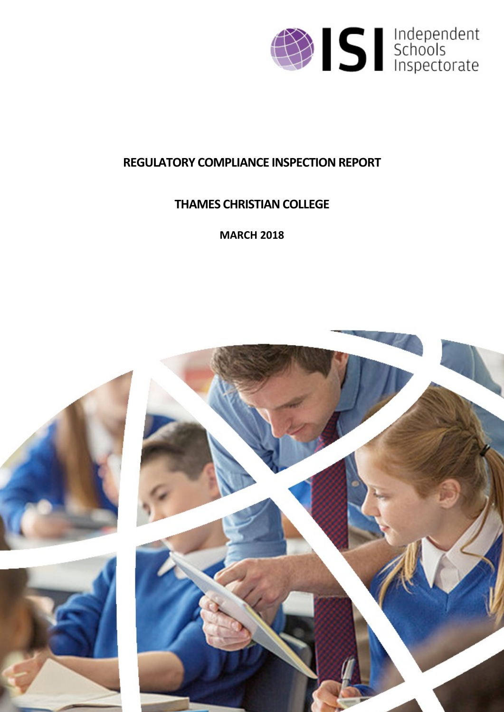

# **REGULATORY COMPLIANCE INSPECTION REPORT**

# **THAMES CHRISTIAN COLLEGE**

**MARCH 2018**

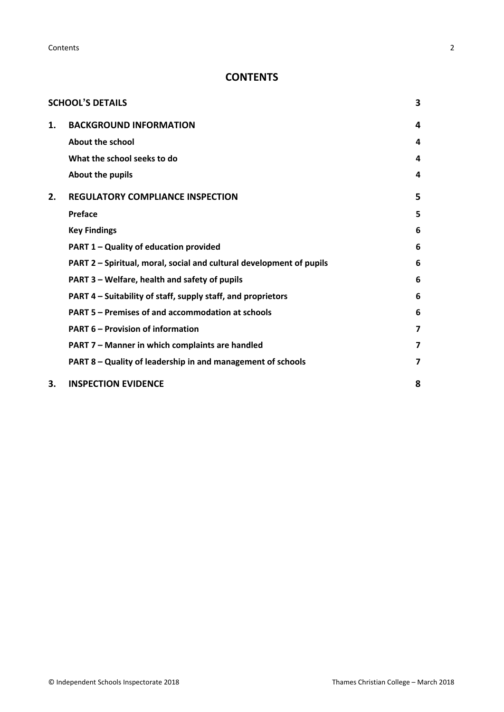**Contents** 2

## **CONTENTS**

|    | <b>SCHOOL'S DETAILS</b>                                              | 3 |
|----|----------------------------------------------------------------------|---|
| 1. | <b>BACKGROUND INFORMATION</b>                                        | 4 |
|    | About the school                                                     | 4 |
|    | What the school seeks to do                                          | 4 |
|    | About the pupils                                                     | 4 |
| 2. | <b>REGULATORY COMPLIANCE INSPECTION</b>                              | 5 |
|    | Preface                                                              | 5 |
|    | <b>Key Findings</b>                                                  | 6 |
|    | PART 1 - Quality of education provided                               | 6 |
|    | PART 2 - Spiritual, moral, social and cultural development of pupils | 6 |
|    | PART 3 - Welfare, health and safety of pupils                        | 6 |
|    | PART 4 – Suitability of staff, supply staff, and proprietors         | 6 |
|    | PART 5 – Premises of and accommodation at schools                    | 6 |
|    | <b>PART 6 - Provision of information</b>                             | 7 |
|    | PART 7 - Manner in which complaints are handled                      | 7 |
|    | PART 8 - Quality of leadership in and management of schools          | 7 |
| 3. | <b>INSPECTION EVIDENCE</b>                                           | 8 |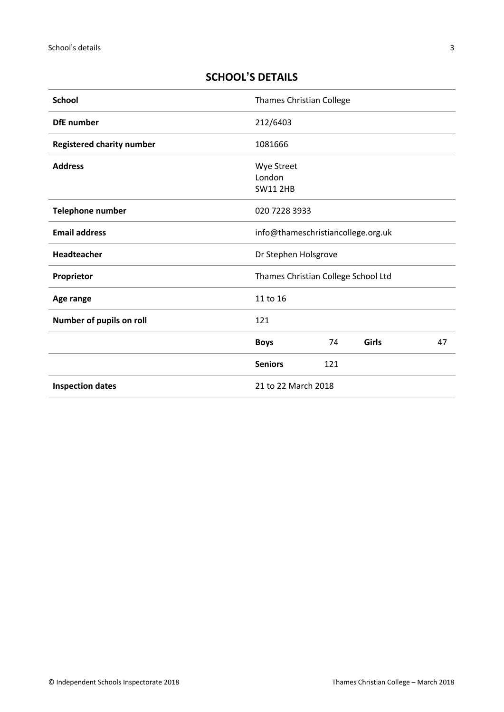## <span id="page-2-0"></span>**SCHOOL'S DETAILS**

| <b>School</b>                    | Thames Christian College                |     |       |    |
|----------------------------------|-----------------------------------------|-----|-------|----|
| <b>DfE</b> number                | 212/6403                                |     |       |    |
| <b>Registered charity number</b> | 1081666                                 |     |       |    |
| <b>Address</b>                   | Wye Street<br>London<br><b>SW11 2HB</b> |     |       |    |
| <b>Telephone number</b>          | 020 7228 3933                           |     |       |    |
| <b>Email address</b>             | info@thameschristiancollege.org.uk      |     |       |    |
| Headteacher                      | Dr Stephen Holsgrove                    |     |       |    |
| Proprietor                       | Thames Christian College School Ltd     |     |       |    |
| Age range                        | 11 to 16                                |     |       |    |
| Number of pupils on roll         | 121                                     |     |       |    |
|                                  | <b>Boys</b>                             | 74  | Girls | 47 |
|                                  | <b>Seniors</b>                          | 121 |       |    |
| <b>Inspection dates</b>          | 21 to 22 March 2018                     |     |       |    |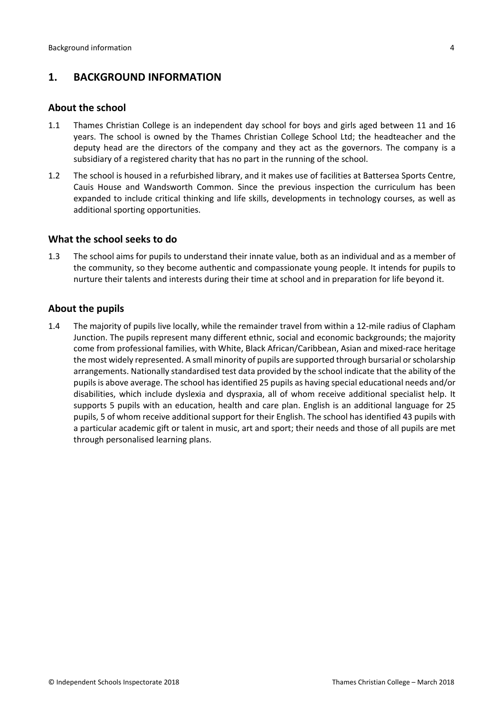## <span id="page-3-0"></span>**1. BACKGROUND INFORMATION**

#### <span id="page-3-1"></span>**About the school**

- 1.1 Thames Christian College is an independent day school for boys and girls aged between 11 and 16 years. The school is owned by the Thames Christian College School Ltd; the headteacher and the deputy head are the directors of the company and they act as the governors. The company is a subsidiary of a registered charity that has no part in the running of the school.
- 1.2 The school is housed in a refurbished library, and it makes use of facilities at Battersea Sports Centre, Cauis House and Wandsworth Common. Since the previous inspection the curriculum has been expanded to include critical thinking and life skills, developments in technology courses, as well as additional sporting opportunities.

#### <span id="page-3-2"></span>**What the school seeks to do**

1.3 The school aims for pupils to understand their innate value, both as an individual and as a member of the community, so they become authentic and compassionate young people. It intends for pupils to nurture their talents and interests during their time at school and in preparation for life beyond it.

#### <span id="page-3-3"></span>**About the pupils**

1.4 The majority of pupils live locally, while the remainder travel from within a 12-mile radius of Clapham Junction. The pupils represent many different ethnic, social and economic backgrounds; the majority come from professional families, with White, Black African/Caribbean, Asian and mixed-race heritage the most widely represented. A small minority of pupils are supported through bursarial orscholarship arrangements. Nationally standardised test data provided by the school indicate that the ability of the pupils is above average. The school has identified 25 pupils as having special educational needs and/or disabilities, which include dyslexia and dyspraxia, all of whom receive additional specialist help. It supports 5 pupils with an education, health and care plan. English is an additional language for 25 pupils, 5 of whom receive additional support for their English. The school has identified 43 pupils with a particular academic gift or talent in music, art and sport; their needs and those of all pupils are met through personalised learning plans.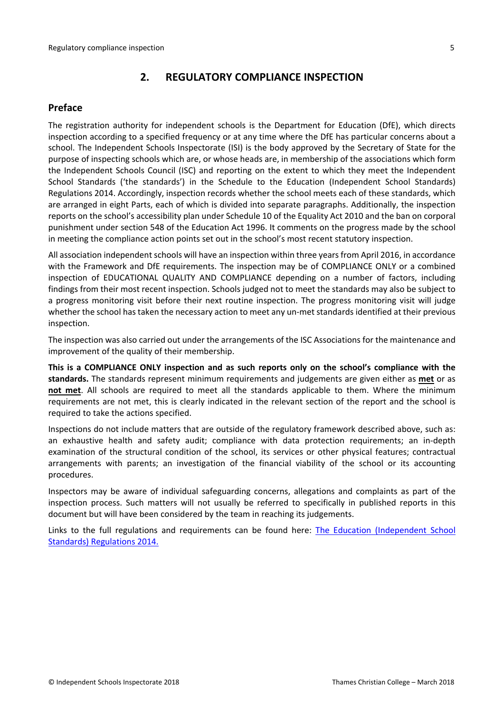## <span id="page-4-0"></span>**2. REGULATORY COMPLIANCE INSPECTION**

## <span id="page-4-1"></span>**Preface**

The registration authority for independent schools is the Department for Education (DfE), which directs inspection according to a specified frequency or at any time where the DfE has particular concerns about a school. The Independent Schools Inspectorate (ISI) is the body approved by the Secretary of State for the purpose of inspecting schools which are, or whose heads are, in membership of the associations which form the Independent Schools Council (ISC) and reporting on the extent to which they meet the Independent School Standards ('the standards') in the Schedule to the Education (Independent School Standards) Regulations 2014. Accordingly, inspection records whether the school meets each of these standards, which are arranged in eight Parts, each of which is divided into separate paragraphs. Additionally, the inspection reports on the school's accessibility plan under Schedule 10 of the Equality Act 2010 and the ban on corporal punishment under section 548 of the Education Act 1996. It comments on the progress made by the school in meeting the compliance action points set out in the school's most recent statutory inspection.

All association independent schools will have an inspection within three yearsfrom April 2016, in accordance with the Framework and DfE requirements. The inspection may be of COMPLIANCE ONLY or a combined inspection of EDUCATIONAL QUALITY AND COMPLIANCE depending on a number of factors, including findings from their most recent inspection. Schools judged not to meet the standards may also be subject to a progress monitoring visit before their next routine inspection. The progress monitoring visit will judge whether the school has taken the necessary action to meet any un-met standards identified at their previous inspection.

The inspection was also carried out under the arrangements of the ISC Associations for the maintenance and improvement of the quality of their membership.

**This is a COMPLIANCE ONLY inspection and as such reports only on the school's compliance with the standards.** The standards represent minimum requirements and judgements are given either as **met** or as **not met**. All schools are required to meet all the standards applicable to them. Where the minimum requirements are not met, this is clearly indicated in the relevant section of the report and the school is required to take the actions specified.

Inspections do not include matters that are outside of the regulatory framework described above, such as: an exhaustive health and safety audit; compliance with data protection requirements; an in-depth examination of the structural condition of the school, its services or other physical features; contractual arrangements with parents; an investigation of the financial viability of the school or its accounting procedures.

Inspectors may be aware of individual safeguarding concerns, allegations and complaints as part of the inspection process. Such matters will not usually be referred to specifically in published reports in this document but will have been considered by the team in reaching its judgements.

Links to the full regulations and requirements can be found here: The Education [\(Independent](http://www.legislation.gov.uk/uksi/2014/3283/contents/made) School Standards) [Regulations](http://www.legislation.gov.uk/uksi/2014/3283/contents/made) 2014.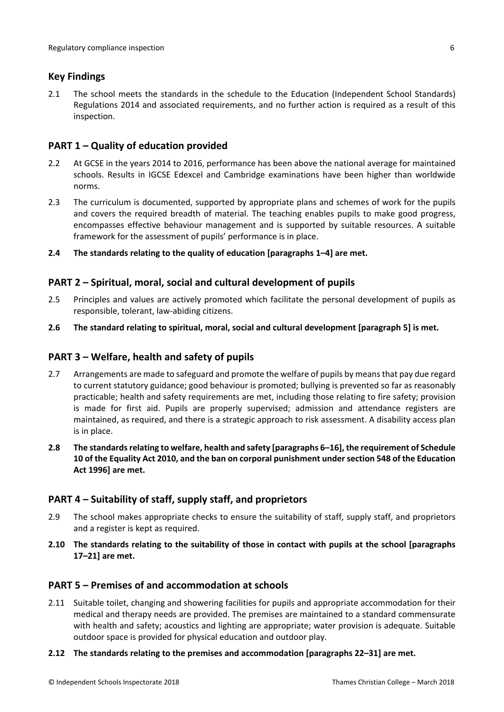### <span id="page-5-0"></span>**Key Findings**

2.1 The school meets the standards in the schedule to the Education (Independent School Standards) Regulations 2014 and associated requirements, and no further action is required as a result of this inspection.

### <span id="page-5-1"></span>**PART 1 – Quality of education provided**

- 2.2 At GCSE in the years 2014 to 2016, performance has been above the national average for maintained schools. Results in IGCSE Edexcel and Cambridge examinations have been higher than worldwide norms.
- 2.3 The curriculum is documented, supported by appropriate plans and schemes of work for the pupils and covers the required breadth of material. The teaching enables pupils to make good progress, encompasses effective behaviour management and is supported by suitable resources. A suitable framework for the assessment of pupils' performance is in place.
- **2.4 The standards relating to the quality of education [paragraphs 1–4] are met.**

### <span id="page-5-2"></span>**PART 2 – Spiritual, moral, social and cultural development of pupils**

- 2.5 Principles and values are actively promoted which facilitate the personal development of pupils as responsible, tolerant, law-abiding citizens.
- **2.6 The standard relating to spiritual, moral, social and cultural development [paragraph 5] is met.**

### <span id="page-5-3"></span>**PART 3 – Welfare, health and safety of pupils**

- 2.7 Arrangements are made to safeguard and promote the welfare of pupils by means that pay due regard to current statutory guidance; good behaviour is promoted; bullying is prevented so far as reasonably practicable; health and safety requirements are met, including those relating to fire safety; provision is made for first aid. Pupils are properly supervised; admission and attendance registers are maintained, as required, and there is a strategic approach to risk assessment. A disability access plan is in place.
- **2.8 The standardsrelating to welfare, health and safety [paragraphs 6–16], the requirement of Schedule 10 of the Equality Act 2010, and the ban on corporal punishment undersection 548 of the Education Act 1996] are met.**

### <span id="page-5-4"></span>**PART 4 – Suitability of staff, supply staff, and proprietors**

- 2.9 The school makes appropriate checks to ensure the suitability of staff, supply staff, and proprietors and a register is kept as required.
- **2.10 The standards relating to the suitability of those in contact with pupils at the school [paragraphs 17–21] are met.**

### <span id="page-5-5"></span>**PART 5 – Premises of and accommodation at schools**

2.11 Suitable toilet, changing and showering facilities for pupils and appropriate accommodation for their medical and therapy needs are provided. The premises are maintained to a standard commensurate with health and safety; acoustics and lighting are appropriate; water provision is adequate. Suitable outdoor space is provided for physical education and outdoor play.

#### **2.12 The standards relating to the premises and accommodation [paragraphs 22–31] are met.**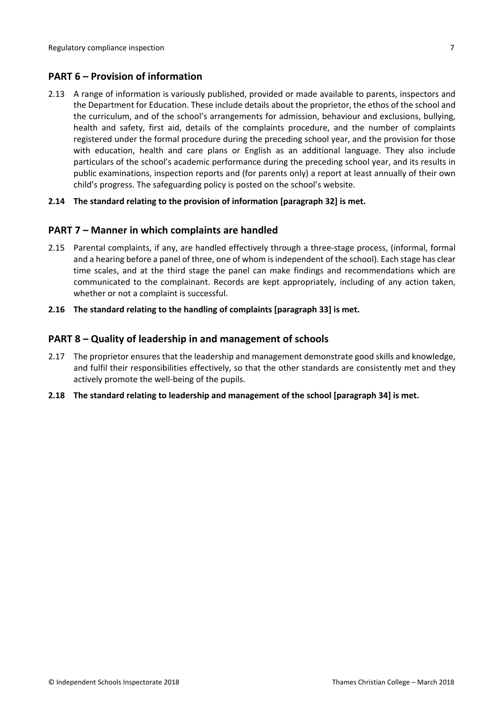## <span id="page-6-0"></span>**PART 6 – Provision of information**

2.13 A range of information is variously published, provided or made available to parents, inspectors and the Department for Education. These include details about the proprietor, the ethos of the school and the curriculum, and of the school's arrangements for admission, behaviour and exclusions, bullying, health and safety, first aid, details of the complaints procedure, and the number of complaints registered under the formal procedure during the preceding school year, and the provision for those with education, health and care plans or English as an additional language. They also include particulars of the school's academic performance during the preceding school year, and its results in public examinations, inspection reports and (for parents only) a report at least annually of their own child's progress. The safeguarding policy is posted on the school's website.

#### **2.14 The standard relating to the provision of information [paragraph 32] is met.**

#### <span id="page-6-1"></span>**PART 7 – Manner in which complaints are handled**

- 2.15 Parental complaints, if any, are handled effectively through a three-stage process, (informal, formal and a hearing before a panel of three, one of whom is independent of the school). Each stage has clear time scales, and at the third stage the panel can make findings and recommendations which are communicated to the complainant. Records are kept appropriately, including of any action taken, whether or not a complaint is successful.
- **2.16 The standard relating to the handling of complaints [paragraph 33] is met.**

#### <span id="page-6-2"></span>**PART 8 – Quality of leadership in and management of schools**

- 2.17 The proprietor ensures that the leadership and management demonstrate good skills and knowledge, and fulfil their responsibilities effectively, so that the other standards are consistently met and they actively promote the well-being of the pupils.
- **2.18 The standard relating to leadership and management of the school [paragraph 34] is met.**